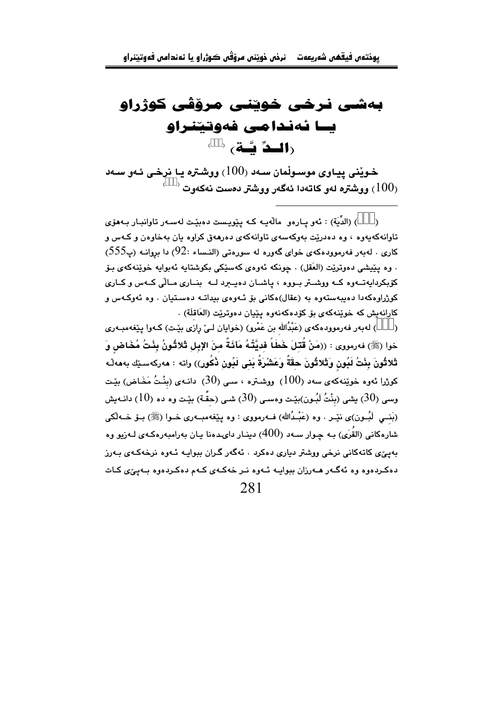## بەشى نرخى خوينى مرۆڧى كوژراو ىسا ئەندامى فەوتىنىراھ (**الددِّ ئُسَة**) ( )

خويْنی پياوی موسـوڵمان سـهد (100) ووشـتره يـا نرخـی ئـهو سـهد و شتره لهو کاتهدا ئهگەر ووشتر دەست نەکەوت (  $100_{\rm j}$ 

) (الدِّيَة) : ئەو يـارەو مالّەيـە كـه يێويـست دەبێـت لەسـەر تاوانبـار بـەھۆى  $\lambda$ تاوانه که بهوه ، وه ده دریت پهوکهسهی تاوانه کهی ده رههق کراوه بان په خاوهن و کـهس و كارى . لەبەر فەرموودەكەي خواي گەورە لە سورەتى (النـساء :92) دا بروانــه (پ $555$ ) . وه يێيشي دەوترێت (العَقل) . چونكه ئەوەي كەسێكى بكوشتايە ئەبوايە خوێنەكەي بۆ کۆبکردايەتبەوه کبه ووشتر بيووه ، ياشيان دەپيرد ليه بنيارى ميالى کيەس وكيارى کوژراوهکهدا دهیبهستهوه به (عقال)هکانی بۆ ئـهوهی بیداتـه دهسـتیان . وه ئهوکـهس و كارانهيش كه خويندكهي بۆ كۆدەكەنەوە يێيان دەوترێت (العَاقلَة) .

) له بهر فه رمووده که ی (عَبْدُالله بن عَمْرو) (خوایان لـی رازی بێت) کـهوا پێغهمبـهری  $\rightarrow$ خوا (ﷺ) فەرمووى : ((مَنْ قُتِلَ خَطَأَ فِدِيَّتُـهُ مَأَئَـةٌ مِنَ الإِبِلِ تَلاتُـونُ بِنْتُ مُخَاضٍ وَ تْلاثُونَ بِنْتُ لَبُونٍ وَتَلاثُونَ حقَّةً وَعَشْرَةُ بَنِى لَبُونِ ذُكُورٍ)) واته : مەركەسێك بەمەڵە کوژرا ئەوە خوێنەکەي سەد (100) ووشـترە ، سـى (30) دانـەي (بنْـتُ مَخَـاض) بێـت وسمی (30) بیشی (بنْتُ لَبُـون)بێت وهسـی (30) شـی (حقَّـة) بێـت وه ده (10) دانــه بیش (بَنــی لَبـُـون)ی نێـر . وه (عَبْـدُالله) فــهرمووی : وه پێغهمبــهری خــوا (ﷺ) بــوّ خــهڵکی شارهکانی (القُرَی) بـه چـوار سـهد (400) دینـار دایـدهنا پـان بهرامبهرهکـهی لـهزیو وه ۔<br>بەبے ًی کاتەکانی نرخی ووشتر دباری دەکرد . ئەگەر گران بېوابيە ئىەۋە نرخەکەي بەرز دهکردهوه وه ئەگـەر مـەرزان ببوايـه ئـەوه نـر خەکـەي کـەم دەکـردەوه بـەيىٚى کـات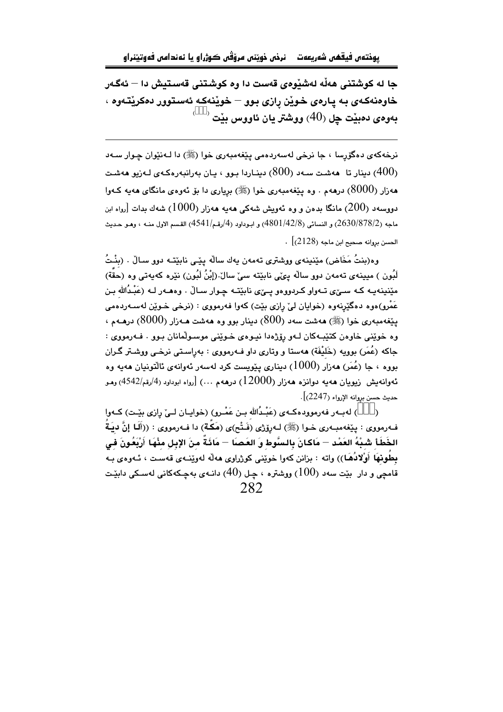جا له كوشتني هەڵە لەشێوەي قەست دا وه كوشتني قەستيش دا — ئەگەر خاوهنهکهی به يارهی خوێن رازی بوو – خوێنهکه ئهستوور دهکرێتهوه ،  $\left( \begin{array}{c} \circ \hspace{1mm} \circ \hspace{1mm} \circ \hspace{1mm} \circ \hspace{1mm} \circ \hspace{1mm} \circ \hspace{1mm} \circ \hspace{1mm} \circ \hspace{1mm} \circ \hspace{1mm} \circ \hspace{1mm} \circ \hspace{1mm} \circ \hspace{1mm} \circ \hspace{1mm} \circ \hspace{1mm} \circ \hspace{1mm} \circ \hspace{1mm} \circ \hspace{1mm} \circ \hspace{1mm} \circ \hspace{1mm} \circ \hspace{1mm} \circ \hspace{1mm} \circ \hspace{1mm} \circ \hspace{1mm} \circ$ 

نرخهکهي دهگزرسا ، جا نرخي لهسهردهمي پێغهمبهري خوا (ﷺ) دا لـهنێوان چـوار سـهد ربنار تا هەشت سەد (800) دىنياردا يېۋا يان پەرانپەرەكبەي لەزىۋاھەشت (400) هەزار (8000) درهەم . وه يێغەمبەرى خوا (ﷺ) بريارى دا بۆ ئەوەي مانگاي ھەيە كـەوا دووسهد (200) مانگا بدەن و وە ئەويش شەكى ھەيە ھەزار (1000) شەك بدات [رواە ابن ماجه (2630/878/2) و النسائي (4801/42/8) و ابـوداود (4/رقـم/4541) القـسم الاول منــه ، وهـو حـديث  $\cdot \left[ (2128)$  الحسن بروانه صحيح ابن ماجه

وه(بنتُ مَخَاض) مێنينهى ووشترى تهمهن يهك سالّه يێـى نابێتـه دوو سـالْ . (بنْـتُ لَبُون ) مبينه ي تهمهن دوو سالَه بيِّي نابِيّته سيّ سالٌ (إِبْنُ لَبُون) نثِرِه كهيهتي وه (حقَّة) مێنینهیـه کـه سـێی تـهواو کـردووهو پـێی نابێتـه چـوار سـالْ . وهـهـهر لـه (عَبْـدُالله بـن .<br>عَمْرو)هوه دهگێرنهوه (خوايان ليِّ رازي بێت) کهوا فهرمووي : (نرخي خـوێن لهسـهردهمي ینِغهمبهری خوا (ﷺ) ههشت سهد (800) دینار بوو وه ههشت هـهزار (8000) درهـهم ، وه خويني خاوهن كتيبهكان لــهو رۆژهدا نيـوهي خـويني موسـولمانان بـوو . فــهرمووي : جاکه (عُمَر) بوويه (خَليْفَة) ههستا و وتاري داو فـهرمووي : بهراسـتي نرخـي ووشـتر گـران نووه ، جا (عُمَر) هەزار (1000) دېنارې پېريست کرد لەسەر ئەوانەي ئالتونيان هەبە وە ئەوانەيش زيويان ھەيە دوانزە ھەزار (12000) درھەم …) [رواه ابوداود (4/رقم/4542) وھـو حديث حسن بروانه الإرواء (2247)].

) لهبـهر فهرموودهكـهي (عَبْـدُالله بـن عَمْـرو) (خوايـان لـيّ رازي بيّـت) كـهوا  $\lambda$ فـهرمووي : يێغهمبـهري خـوا (ﷺ) لـهرۆژي (فَـتْح)ى (مَكَّـة) دا فـهرمووي : ((أَلَمَا إِنَّ ديَـةُ الخَطَأ شَـبْهُ العَمْد — مَاكـانَ بِالـسَّوط وَ العَـصـَا — مَائَـةٌ مِنَ الإِبلِ مِنْهَا أَرْبَعُونَ فِي بطُوبْهَا أَوْلادُهَـا)) واته : بزانن كهوا خويْني كورْراوي هەلّە لەويتنەي قەست ، ئـەوەي بـە قامچی و دار بێت سهد (100) ووشتره ، چـل (40) دانـه $\,$  بهچـکهکانی لهسـکی دابێـت 282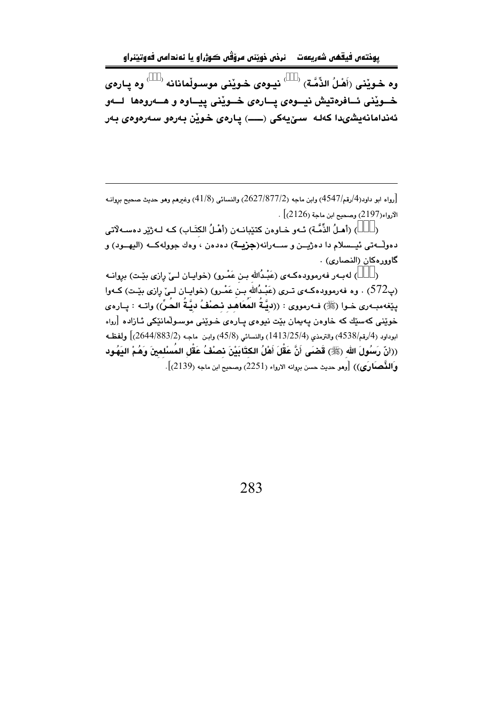يوختەن فيقھن شەريعەت دنرخن خويننن مرۆڤن ڪوژراو يا ئەندامن فەوتيننراو

وه خـويْنى (أَهْـلُ الذِّمَّـة)  $\hspace{0.5cm}$  نيـوهي خـويْنى موسـولْمانانه  $\hspace{0.5cm}$ وه پـارهى خــوێنی ئــافرەتيش نيــوەی پــارەی خــوێنی پِيــاوه و هــەروەها لــەو ئەندامانەيشىدا كەلە سىقيەكى (ــــ) يارەي خوين بەرەو سەرەوەي بەر

رواه ابو داود(4/رقم/4547) وابن ماجه (2627/877/2) والنسائي (41/8) وغيرهم وهو حديث صحيح بروانيه  $\vert$ الأرواء(2197) وصحيح ابن ماجة (2126) .

) (أهـلُ الذِّمَّـة) ئـهو خـاوهن كتێبانـهن (أهْـلُ الكتَـابِ) كـه لـهژێِر دهسـهلْاتي  $\lambda$ دهولْـــهتي ئيـــسلام دا دهژيـــن و ســـهرانه(جزيــة) دهدهن ، وهك جوولهكـــه (اليهـــود) و گاوورەكان (النصارى) .

) لهبـهر فهرموودهكـهى (عَبْـدُالله بـن عَمْـرو) (خوايـان لـيٌ رِازي بيّـت) برِوانـه  $\rightarrow$ (پ572) . وه فەرموودەكــەي تــرى (عَبْـدُاللَه بـن عَمْـرو) (خواپــان لــي رِازى بێـت) كــهوا يِيْغهمبـهري خـوا (ﷺ) فـهرمووي : ((ديَّةُ المُعَاهَد مْصنْفُ ديَّةُ الحُرِّ)) واتـه : پـاره $\zeta$ خوێنی کهسێك که خاوهن پهيمان بێت نیوهی پـارهی خـوێنی موسـوڵمانێکی ئـازاده [ږواه ابوداود (4/رقم/4538) والترمذي (1413/25/4) والنسائي (45/8) وابن ماجه (2644/883/2)] ولفظه ((أنّ رَسُولَ الله (ﷺ) قَضَى أَنَّ عَقْلَ أَهْلُ الكتَابَيْنَ نصْفُ عَقْلِ المُسْلمينَ وَهُمْ اليَهُود والنَّحْصَارَى)) [وهو حديث حسن بروانه الارواء (2251) وصحيح ابن ماجه (2139)].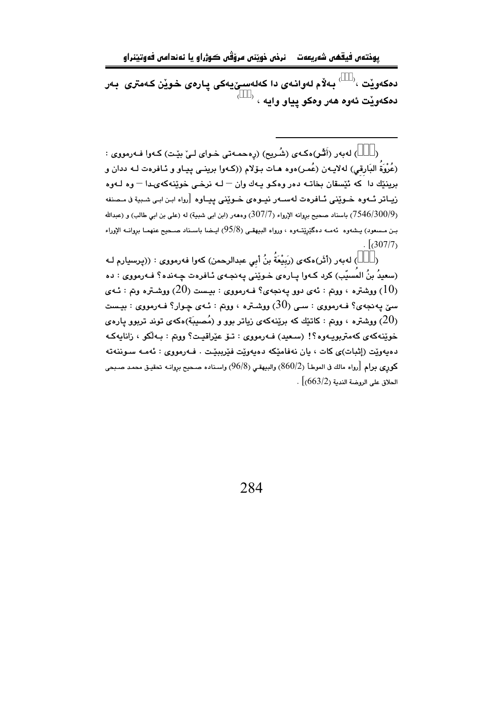دەكەوێت $\sim$  ْبەلاّم لەوانـەى دا كەلەسـێيەكى پـارەى خـوێن كـەمترى بـەر دهکهوێت ئهوه ههر وهکو پياو وايه <sup>، ‹</sup>

) لەبەر (أَشْر)ەكەي (شُريح) (رەحمەتى خواي لـىٰ بِيْت) كـەوا فـەرمووى :  $\mathcal{L}$ (عُرْوَةُ البَارقي) لهلايـهن (عُمـر)هوه هـات بـۆلام ((كـهوا برينــي پـيـاو و ئـافرهت لــه ددان و برينٽِك دا كه ئٽِسقان بخاتـه دەر وەكـو پـهك وان – لـه نرخـى خوێنهكهىدا – وه لـهوه زيـاتر ئــهوه خـوێني ئــافرهت لهســهر نيــوهي خـوێني پيــاوه [رواه ابـن ابـي شـبية ڧ مـصنفه (7546/300/9) باسناد صحيح بروانه الإرواء (307/7) وهههر (ابن ابي شبية) له (علي بن ابي طالب) و (عبدالله بـن مـسعود) بـشەوه ئەمــە دەگێرێتــەوه ، ورواه البيهقــى (95/8) ايــضا باســناد صــحيح عنهمـا بروانــه الإوراء  $\frac{1}{307/7}$ 

) لهبهر (أَثَر)هكه $\zeta$  (رَبِيْعَةُ بنُ أَبِي عبدالرحمن) كهوا فهرمووى : ((پرسيارم لـه  $\lambda$ (سعيدُ بنُ المُسيّب) كرد كـهوا يـارهى خـوێنى يـهـنجـهى ئـافرهت چـهـنده؟ فـهرمووى : ده روشتره ، ووتم : ئەي دوو يەنجەي؟ فـەرمووى : بيـست (20) ووشـتره وتم : ئــەي (10) ووشتره وتم  $(10)$ سيٰ پهنجهي؟ فـهرمووي : سـي (30) ووشـتره ، ووتم : ئـهي چـوار؟ فـهرمووي : بيـست ویشتره ، ووتم : کاتێك که برێنهکهی زیاتر بوو و (مُصبِبَة)ەکەی توند تربوو یارەی  $\left(20\right)$ خوێنەكەي كەمتربويـەوە؟! (سىعيد) ڧـەرمووي : تــۆ عێراقيـت؟ ووتم : بـەڵكو ، زانايەكـە دەپەوێت (إثبات)ى كات ، يان نەڧامێكە دەپەوێت ڧێريېێت . ڧەرمووى : ئەمـە سـوننەتە كوري برام [رواه مالك في الموطأ (860/2) والبيهقي (96/8) واسناده صبحيح بروانيه تحقيق محمد صبحي  $\sim [663/2)$ الحلاق على الروضة الندمة (663/2)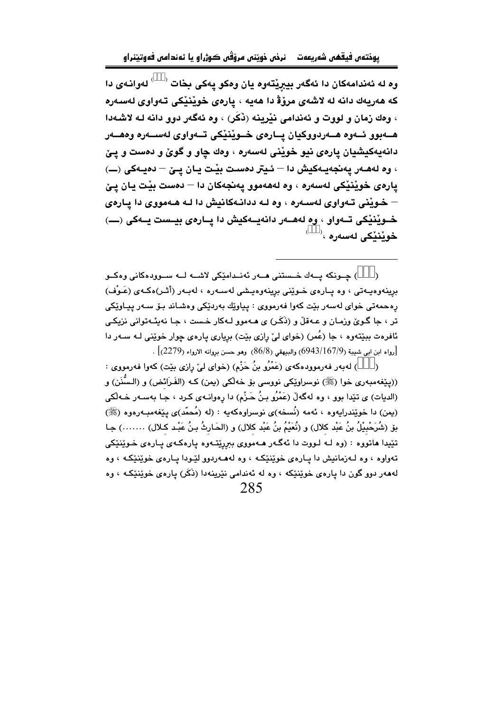وه له ئەندامەكان دا ئەگەر بيبرينقەوه يان وەكو يەكى بخات <sup>( )</sup> لەوانەى دا که هەريەك دانە لە لاشەي مرۆۋ دا هەيە ، يارەي خويْنيْكى تەواوى لەسەرە ، وهك زمان و لووت و ئەندامى نێرينه (نكَر) ، وه ئەگەر دوو دانه لـه لاشـهدا هـــهبوو ئـــهوه هـــهردووكيان يـــارهى خــويننيكي تـــهواوي لهســـهره وههـــهر دانهپهکیشیان پارهی نیو خویْنی لهسهره ، وهك چاو و گویٌ و دهست و پـێ ، وه لههـهر يهنجهيـهكيش دا – ئـيتر دهسـت بيّـت يـان يـيّ – دهيـهكي (ــ) يارەي خويننيكي لەسەرە ، وە لەھەموو پەنجەكان دا – دەست بيْت يان يـێ – خـوینی تـهواوی لهسـهره ، وه لـه ددانـهکانیش دا لـه هـهمووی دا یـارهی خـوێنێکي تـهواو ، وه لههـهر دانهيـهکيش دا يـارهي بيـست يـهکي (ـــ) خوٽنٽڪي لهسهره ، ```

) جــونکه يــهك خــستنى مــهر ئهنــدامێکى لاشــه لــه ســوودهکانى وهکــو  $\lambda$ برینهوهیـهتی ، وه یـارهى خـوێنى برینهوهیـشى لهسـهره ، لهبـهر (أثـر)هكـهى (عَـوْف) رەحمەتى خواي لەسەر بێت كەوا فەرمووى : پياوێك بەردێكى وەشـاند بـۆ سـەر پيـاوێكى تر ، جا گـوێ وزمـان و عـهقڵ و (ذَكَر) ی هـهموو لـهكار خـست ، جـا نهيئـهتواني نزيكـي ئافرهت ببێتهوه ، جا (عُمر) (خوای ليّ رازی بێت) برياری پارهی چوار خوێنی لـه سـهر دا . [رواه ابن ابي شبيبة (9/167/943) والبيهقي (8/8) وهو حسن بروانه الارواء (2279)] .

) لهبهر فهرموودهكهي (عَمْرُو بنُ جَزْمٍ) (خواي ليّ رازي بيّت) كهوا فهرمووي :  $\lambda$ ((پێغهمبەری خوا (ﷺ) نوسراوێکی نووسی بۆ خەلکی (پمن) کـه (الفَـرَائض) و (الـسُّنَن) و (الدیات) ی تێدا بوو ، وه لهگهڵ (عَمْرُو بنُ حَـزْم) دا رهوانـهی کـرد ، جـا بهسـهر خـهڵکی (یمن) دا خوێندرابهود ، ئهمه (نُسخه)ی نوسراوهکهبه : (له (مُحمَّد)ی بێغهمبهرووه (ﷺ) بِقِ (شُرَحْبِيْلُ بنُ عَبْد كلال) و (نُعَيْمُ بنُ عَبْد كلال) و (الحَـارِثُ بـنُ عَبْـد كـلال) …….) جـا تێيدا هاتووه : (وه لـه لـووت دا ئهگـهر هـهمووی ببررێتـهوه يارهكهی يـارهی خـوێنێکی تهواوه ، وه لهزمانيش دا بيارهي خويننيکه ، وه لهههريوو ليودا بيارهي خويننيکه ، وه لهههر دوو گون دا پارهي خويننيکه ، وه له ئهندامي نيرينهدا (نَکَر) پارهي خويننيکـه ، وه 285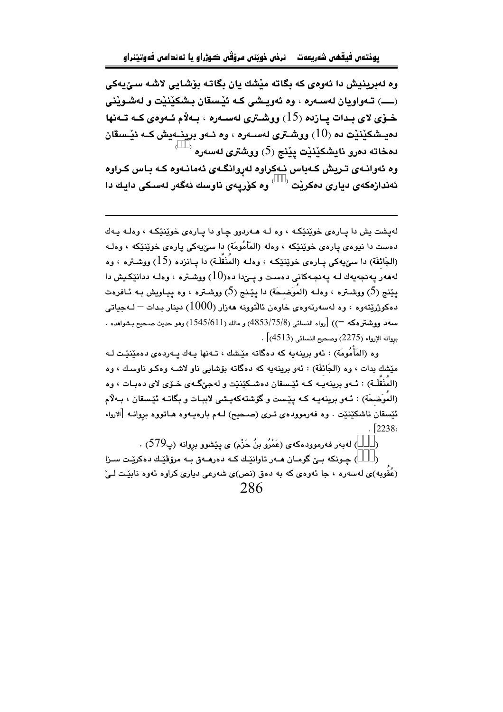وه لەبرينيش دا ئەوەي كە بگاتە مێشك يان بگاتە بۆشايى لاشە سىِّيەكى خــوّي لاي بـدات يــازده (15) ووشــتري لـهســهره ، بــهلاّم ئــهوهي كــه تــهنها دهيـشكێنێت ده  $(10)$  ووشـترى لهسـهره ، وه ئـهو برينـهيش كـه ئێـسقان  $^{\circ}$  دمخاته دمرو نايشكێنێت يێنج (5) ووشترى لەسەرە وه ئەوانـەي تـريش كـەباس نـەكراوه لەروانگـەي ئەمانـەوه كـە بـاس كـراوه

ئەندازەكەى ديارى دەكرێت <sup>‹ )</sup> وە كۆرپەى ناوسك ئەگەر لەسكى دايك دا

لهيشت يش دا پارهي خوێنێکه ، وه لـه هـهردوو چاو دا پـارهي خوێنێکه ، وهك پـهك دهست دا نیوهی یارهی خویننیکه ، وهله (المَأْمُومَة) دا سیِّیهکی یارهی خویننیکه ، وهلـه (الجَانْفَة) دا سێيەكى يـارەي خوێنێکـه ، وەك (المُنَقِّلَـة) دا يـانزدە (15) ووشـترە ، وە لەھەر يەنجەيەك لـە يەنجـەكانى دەسـت و يـێدا دە $(10)$  ووشـترە ، وەلـە ددانێكـيش دا يێنج (5) ووشـتره ، وهك (المُوَضـحَة) دا يێـنج (5) ووشـتره ، وه ييـاويش بـه ئـافرهت دەكوژرێِتەوە ، وە لەسەرئەوەي خاوەن ئالتوونە ھەزار (1000) دېنار بىدات – لـەجياتى سه د ووشترهکه —)) [رواه النسائي (3/75/8)4853) و مالك (1545/611) وهو حديث صـحيح بـشواهده .  $\sim$  (4513) رواينه الإرواء (2275) وصحيح النسائي (4513)

وه (المَأْمُومَة) : ئەو برينەيە كە دەگاتە مێشك ، تـەنھا يـەك يـەردەي دەمێنێت لـە مێشك بدات ، وه (الجَائفَة) : ئەو برينەيە كە دەگاتە بۆشاپى ناو لاشبە وەكبو ناوسك ، وە (المُنَقَلَـة) : ئـهو برينهيـه كـه ئێـسقان دهشـكێنێت و لهجیِّگـهى خـۆی لای دهبـات ، وه (المُوَضِعَة) : ئـهو برينهيـه كـه يێست و گۆشتهكهيـشى لاببـات و بگاتــه ئێـسقان ، بـهلاّم ئيّسقان ناشكيّنيّت . وه فهرموودهي تـري (صـحيح) لـهم بارهيـهوه هـاتووه بروانـه [الارواء  $\sqrt{2238}$ 

) له به ر فه رموود هکهی (عَمْرُو بنُ حَزْم) ی پێشوو بڕوانه (پ579) .

) جـونکه بـێ گومـان هـهر تاوانێـك کـه دەرهـهق بـه مرۆڨێـك دەکرێـت سـزا (عُقوبه)ی لهسهره ، جا ئهوهی که به دهق (نص)ی شهرعی دیاری کراوه ئهوه نابێت لـیٚ 286